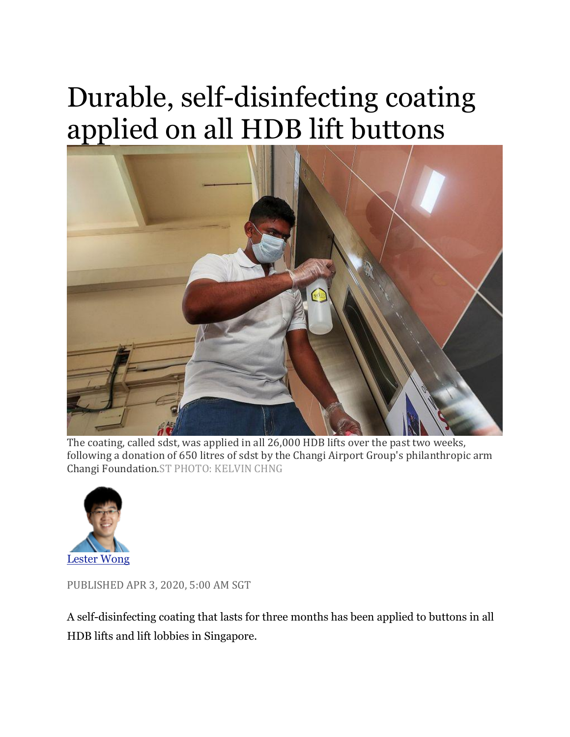## Durable, self-disinfecting coating applied on all HDB lift buttons



The coating, called sdst, was applied in all 26,000 HDB lifts over the past two weeks, following a donation of 650 litres of sdst by the Changi Airport Group's philanthropic arm Changi Foundation.ST PHOTO: KELVIN CHNG



PUBLISHED APR 3, 2020, 5:00 AM SGT

A self-disinfecting coating that lasts for three months has been applied to buttons in all HDB lifts and lift lobbies in Singapore.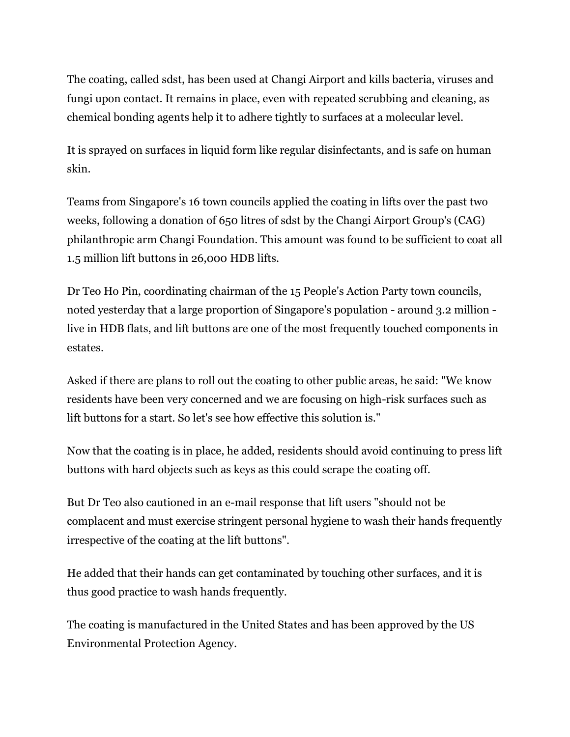The coating, called sdst, has been used at Changi Airport and kills bacteria, viruses and fungi upon contact. It remains in place, even with repeated scrubbing and cleaning, as chemical bonding agents help it to adhere tightly to surfaces at a molecular level.

It is sprayed on surfaces in liquid form like regular disinfectants, and is safe on human skin.

Teams from Singapore's 16 town councils applied the coating in lifts over the past two weeks, following a donation of 650 litres of sdst by the Changi Airport Group's (CAG) philanthropic arm Changi Foundation. This amount was found to be sufficient to coat all 1.5 million lift buttons in 26,000 HDB lifts.

Dr Teo Ho Pin, coordinating chairman of the 15 People's Action Party town councils, noted yesterday that a large proportion of Singapore's population - around 3.2 million live in HDB flats, and lift buttons are one of the most frequently touched components in estates.

Asked if there are plans to roll out the coating to other public areas, he said: "We know residents have been very concerned and we are focusing on high-risk surfaces such as lift buttons for a start. So let's see how effective this solution is."

Now that the coating is in place, he added, residents should avoid continuing to press lift buttons with hard objects such as keys as this could scrape the coating off.

But Dr Teo also cautioned in an e-mail response that lift users "should not be complacent and must exercise stringent personal hygiene to wash their hands frequently irrespective of the coating at the lift buttons".

He added that their hands can get contaminated by touching other surfaces, and it is thus good practice to wash hands frequently.

The coating is manufactured in the United States and has been approved by the US Environmental Protection Agency.